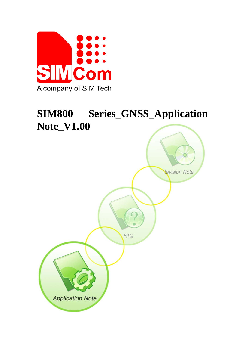

# **SIM800 Series\_GNSS\_Application Note\_V1.00**

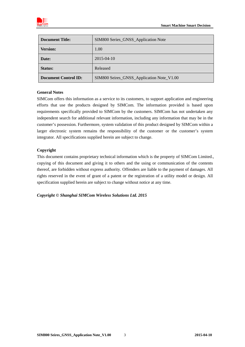

| <b>Document Title:</b>      | SIM800 Series_GNSS_Application Note       |
|-----------------------------|-------------------------------------------|
| <b>Version:</b>             | 1.00                                      |
| Date:                       | 2015-04-10                                |
| <b>Status:</b>              | Released                                  |
| <b>Document Control ID:</b> | SIM800 Seires_GNSS_Application Note_V1.00 |

#### **General Notes**

SIMCom offers this information as a service to its customers, to support application and engineering efforts that use the products designed by SIMCom. The information provided is based upon requirements specifically provided to SIMCom by the customers. SIMCom has not undertaken any independent search for additional relevant information, including any information that may be in the customer's possession. Furthermore, system validation of this product designed by SIMCom within a larger electronic system remains the responsibility of the customer or the customer's system integrator. All specifications supplied herein are subject to change.

#### **Copyright**

This document contains proprietary technical information which is the property of SIMCom Limited., copying of this document and giving it to others and the using or communication of the contents thereof, are forbidden without express authority. Offenders are liable to the payment of damages. All rights reserved in the event of grant of a patent or the registration of a utility model or design. All specification supplied herein are subject to change without notice at any time.

*Copyright © Shanghai SIMCom Wireless Solutions Ltd. 2015*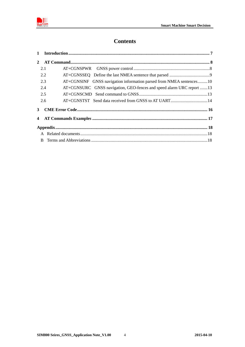

# **Contents**

| 2.1 |                                                                      |  |
|-----|----------------------------------------------------------------------|--|
| 2.2 |                                                                      |  |
| 2.3 | AT+CGNSINF GNSS navigation information parsed from NMEA sentences10  |  |
| 2.4 | AT+CGNSURC GNSS navigation, GEO-fences and speed alarm URC report 13 |  |
| 2.5 |                                                                      |  |
| 2.6 |                                                                      |  |
| 3   |                                                                      |  |
|     |                                                                      |  |
|     |                                                                      |  |
|     |                                                                      |  |
|     |                                                                      |  |

 $\overline{4}$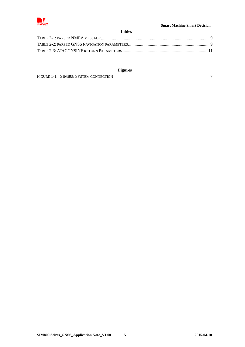

#### **Tables**

### **Figures**

FIGURE 1-1 SIM808 SYSTEM CONNECTION 7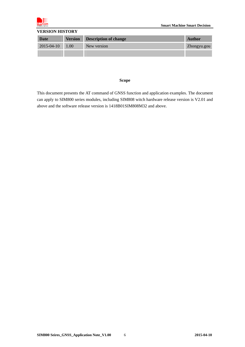

#### **VERSION HISTORY**

| Date              | <b>Version Description of change</b> | <b>Author</b> |
|-------------------|--------------------------------------|---------------|
| $2015-04-10$ 1.00 | New version                          | Zhongyu.gou   |
|                   |                                      |               |

#### **Scope**

This document presents the AT command of GNSS function and application examples. The document can apply to SIM800 series modules, including SIM808 witch hardware release version is V2.01 and above and the software release version is 1418B01SIM808M32 and above.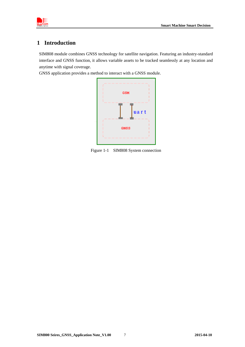

### **1 Introduction**

SIM808 module combines GNSS technology for satellite navigation. Featuring an industry-standard interface and GNSS function, it allows variable assets to be tracked seamlessly at any location and anytime with signal coverage.

GNSS application provides a method to interact with a GNSS module.



Figure 1-1 SIM808 System connection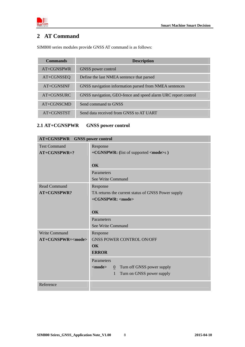



# **2 AT Command**

SIM800 series modules provide GNSS AT command is as follows:

| <b>Commands</b> | <b>Description</b>                                            |
|-----------------|---------------------------------------------------------------|
| $AT+CGNSPWR$    | GNSS power control                                            |
| AT+CGNSSEQ      | Define the last NMEA sentence that parsed                     |
| $AT+CGNSINF$    | GNSS navigation information parsed from NMEA sentences        |
| $AT+CGNSURC$    | GNSS navigation, GEO-fence and speed alarm URC report control |
| AT+CGNSCMD      | Send command to GNSS                                          |
| AT+CGNSTST      | Send data received from GNSS to AT UART                       |

# **2.1 AT+CGNSPWR GNSS power control**

| AT+CGNSPWR GNSS power control       |                                                                          |  |
|-------------------------------------|--------------------------------------------------------------------------|--|
| <b>Test Command</b><br>AT+CGNSPWR=? | Response<br>+CGNSPWR: (list of supported <mode>s)</mode>                 |  |
|                                     | <b>OK</b>                                                                |  |
|                                     | Parameters                                                               |  |
|                                     | See Write Command                                                        |  |
| <b>Read Command</b>                 | Response                                                                 |  |
| <b>AT+CGNSPWR?</b>                  | TA returns the current status of GNSS Power supply                       |  |
|                                     | +CGNSPWR: <mode></mode>                                                  |  |
|                                     |                                                                          |  |
|                                     | OK                                                                       |  |
|                                     | Parameters                                                               |  |
|                                     | See Write Command                                                        |  |
| <b>Write Command</b>                | Response                                                                 |  |
| AT+CGNSPWR= <mode></mode>           | <b>GNSS POWER CONTROL ON/OFF</b>                                         |  |
|                                     | OK<br><b>ERROR</b>                                                       |  |
|                                     |                                                                          |  |
|                                     | Parameters                                                               |  |
|                                     | <mode><br/>Turn off GNSS power supply<br/><math>\mathbf{0}</math></mode> |  |
|                                     | $\mathbf{1}$<br>Turn on GNSS power supply                                |  |
| Reference                           |                                                                          |  |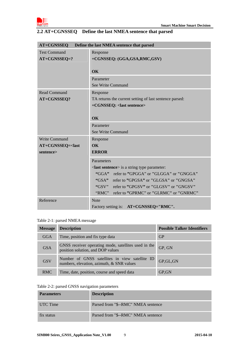

| Define the last NMEA sentence that parsed<br><b>AT+CGNSSEQ</b>                          |                                                         |  |
|-----------------------------------------------------------------------------------------|---------------------------------------------------------|--|
| <b>Test Command</b>                                                                     | Response                                                |  |
| $AT+CGNSSEQ=?$                                                                          | +CGNSSEQ: (GGA,GSA,RMC,GSV)                             |  |
|                                                                                         |                                                         |  |
|                                                                                         | OK                                                      |  |
|                                                                                         | Parameter                                               |  |
|                                                                                         | See Write Command                                       |  |
| Read Command                                                                            | Response                                                |  |
| AT+CGNSSEQ?                                                                             | TA returns the current setting of last sentence parsed: |  |
|                                                                                         | +CGNSSEQ: <last sentence=""></last>                     |  |
|                                                                                         |                                                         |  |
|                                                                                         | $\overline{\text{OK}}$                                  |  |
|                                                                                         | Parameter                                               |  |
|                                                                                         | <b>See Write Command</b>                                |  |
| <b>Write Command</b>                                                                    | Response                                                |  |
| AT+CGNSSEQ= <last< th=""><th colspan="2"><math>\overline{\text{OK}}</math></th></last<> | $\overline{\text{OK}}$                                  |  |
| sentence>                                                                               | <b>ERROR</b>                                            |  |
|                                                                                         | Parameters                                              |  |
|                                                                                         | $\le$ last sentence > is a string type parameter:       |  |
|                                                                                         | "GGA" refer to "GPGGA" or "GLGGA" or "GNGGA"            |  |
|                                                                                         | "GSA" refer to "GPGSA" or "GLGSA" or "GNGSA"            |  |
|                                                                                         | "GSV" refer to "GPGSV" or "GLGSV" or "GNGSV"            |  |
|                                                                                         | "RMC"<br>refer to "GPRMC" or "GLRMC" or "GNRMC"         |  |
| Reference                                                                               | <b>Note</b>                                             |  |
|                                                                                         | AT+CGNSSEQ="RMC".<br>Factory setting is:                |  |

### **2.2 AT+CGNSSEQ Define the last NMEA sentence that parsed**

### Table 2-1: parsed NMEA message

| <b>Message</b> | <b>Description</b>                                                                          | <b>Possible Talker Identifiers</b> |
|----------------|---------------------------------------------------------------------------------------------|------------------------------------|
| GGA            | Time, position and fix type data                                                            | <b>GP</b>                          |
| <b>GSA</b>     | GNSS receiver operating mode, satellites used in the<br>position solution, and DOP values   | GP, GN                             |
| <b>GSV</b>     | Number of GNSS satellites in view satellite ID<br>numbers, elevation, azimuth, & SNR values | GP, GL, GN                         |
| <b>RMC</b>     | Time, date, position, course and speed data                                                 | GP, GN                             |

#### Table 2-2: parsed GNSS navigation parameters

| <b>Parameters</b> | <b>Description</b>                  |
|-------------------|-------------------------------------|
| UTC Time          | Parsed from "\$--RMC" NMEA sentence |
| fix status        | Parsed from "\$--RMC" NMEA sentence |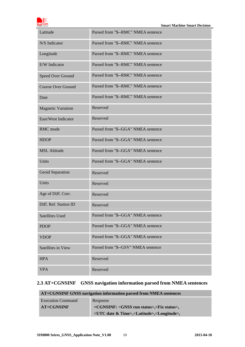| om<br>company of SHA Tech |
|---------------------------|

| Latitude                  | Parsed from "\$--RMC" NMEA sentence |
|---------------------------|-------------------------------------|
| N/S Indicator             | Parsed from "\$--RMC" NMEA sentence |
| Longitude                 | Parsed from "\$--RMC" NMEA sentence |
| E/W Indicator             | Parsed from "\$--RMC" NMEA sentence |
| Speed Over Ground         | Parsed from "\$--RMC" NMEA sentence |
| <b>Course Over Ground</b> | Parsed from "\$--RMC" NMEA sentence |
| Date                      | Parsed from "\$--RMC" NMEA sentence |
| <b>Magnetic Variation</b> | Reserved                            |
| East/West Indicator       | Reserved                            |
| RMC mode                  | Parsed from "\$--GGA" NMEA sentence |
| <b>HDOP</b>               | Parsed from "\$--GGA" NMEA sentence |
| <b>MSL Altitude</b>       | Parsed from "\$--GGA" NMEA sentence |
| Units                     | Parsed from "\$--GGA" NMEA sentence |
| Geoid Separation          | Reserved                            |
| Units                     | Reserved                            |
| Age of Diff. Corr.        | Reserved                            |
| Diff. Ref. Station ID     | Reserved                            |
| <b>Satellites Used</b>    | Parsed from "\$--GGA" NMEA sentence |
| <b>PDOP</b>               | Parsed from "\$--GGA" NMEA sentence |
| <b>VDOP</b>               | Parsed from "\$--GGA" NMEA sentence |
| <b>Satellites in View</b> | Parsed from "\$--GSV" NMEA sentence |
| <b>HPA</b>                | Reserved                            |
| <b>VPA</b>                | Reserved                            |

# **2.3 AT+CGNSINF GNSS navigation information parsed from NMEA sentences**

| AT+CGNSINF GNSS navigation information parsed from NMEA sentences |                                                                                 |
|-------------------------------------------------------------------|---------------------------------------------------------------------------------|
| <b>Execution Command</b>                                          | Response                                                                        |
| $AT+CGNSINF$                                                      | +CGNSINF: <gnss run="" status="">,<fix status="">,</fix></gnss>                 |
|                                                                   | <utc &="" date="" time="">,<latitude>,<longitude>,</longitude></latitude></utc> |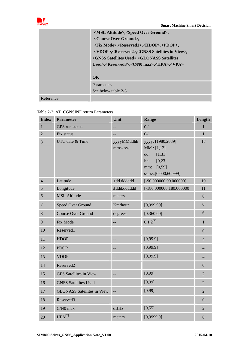

|           | <msl altitude="">,<speed ground="" over="">,</speed></msl>                       |
|-----------|----------------------------------------------------------------------------------|
|           | <course ground="" over="">,</course>                                             |
|           | <fix mode="">,<reserved1>,<hdop>,<pdop>,</pdop></hdop></reserved1></fix>         |
|           | <vdop>,<reserved2>,<gnss in="" satellites="" view="">,</gnss></reserved2></vdop> |
|           | <gnss satellites="" used="">,<glonass satellites<="" th=""></glonass></gnss>     |
|           | Used>, <reserved3>,<c max="" n0="">,<hpa>,<vpa></vpa></hpa></c></reserved3>      |
|           |                                                                                  |
|           | $\alpha$                                                                         |
|           | Parameters                                                                       |
|           | See below table 2-3.                                                             |
| Reference |                                                                                  |

### Table 2-3: AT+CGNSINF return Parameters

| <b>Index</b>   | <b>Parameter</b>                  | Unit                     | Range                                                                                                         | Length         |
|----------------|-----------------------------------|--------------------------|---------------------------------------------------------------------------------------------------------------|----------------|
| $\mathbf{1}$   | GPS run status                    |                          | $0 - 1$                                                                                                       | $\mathbf{1}$   |
| $\overline{2}$ | Fix status                        | --                       | $0 - 1$                                                                                                       | $\overline{1}$ |
| 3              | UTC date & Time                   | yyyyMMddhh<br>mmss.sss   | yyyy: [1980,2039]<br>MM: [1,12]<br>[1, 31]<br>dd:<br>[0,23]<br>hh:<br>[0, 59]<br>mm:<br>ss.sss:[0.000,60.999] | 18             |
| $\overline{4}$ | Latitude                          | ±dd.dddddd               | $[-90.000000, 90.000000]$                                                                                     | 10             |
| 5              | Longitude                         | ±ddd.dddddd              | $[-180.000000, 180.000000]$                                                                                   | 11             |
| 6              | <b>MSL Altitude</b>               | meters                   |                                                                                                               | 8              |
| $\overline{7}$ | Speed Over Ground                 | Km/hour                  | [0,999.99]                                                                                                    | 6              |
| 8              | <b>Course Over Ground</b>         | degrees                  | [0, 360.00]                                                                                                   | 6              |
| 9              | Fix Mode                          |                          | $0,1,2^{[1]}$                                                                                                 | $\mathbf{1}$   |
| 10             | Reserved1                         |                          |                                                                                                               | $\overline{0}$ |
| 11             | <b>HDOP</b>                       |                          | [0,99.9]                                                                                                      | $\overline{4}$ |
| 12             | <b>PDOP</b>                       |                          | [0,99.9]                                                                                                      | $\overline{4}$ |
| 13             | <b>VDOP</b>                       |                          | [0,99.9]                                                                                                      | $\overline{4}$ |
| 14             | Reserved <sub>2</sub>             |                          |                                                                                                               | $\overline{0}$ |
| 15             | <b>GPS</b> Satellites in View     | --                       | [0,99]                                                                                                        | $\overline{2}$ |
| 16             | <b>GNSS Satellites Used</b>       | $\overline{\phantom{a}}$ | [0,99]                                                                                                        | $\overline{2}$ |
| 17             | <b>GLONASS Satellites in View</b> |                          | [0,99]                                                                                                        | $\overline{2}$ |
| 18             | Reserved3                         |                          |                                                                                                               | $\overline{0}$ |
| 19             | $C/N0$ max                        | dBHz                     | [0, 55]                                                                                                       | $\overline{2}$ |
| 20             | $HPA^{[2]}$                       | meters                   | [0,9999.9]                                                                                                    | 6              |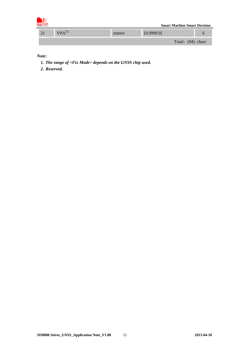| I∰<br><b>SIMCom</b><br>A company of SHA Tech |             |        | <b>Smart Machine Smart Decision</b> |  |
|----------------------------------------------|-------------|--------|-------------------------------------|--|
| 21                                           | $VPA^{[2]}$ | meters | [0,9999.9]                          |  |
|                                              |             |        | Total: (94) chars                   |  |

*Note:* 

- *1. The range of <Fix Mode> depends on the GNSS chip used.*
- *2. Reserved.*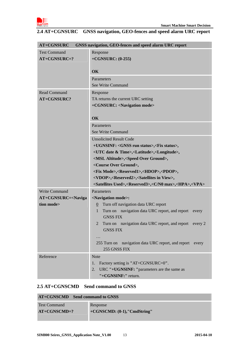

# **2.4 AT+CGNSURC GNSS navigation, GEO-fences and speed alarm URC report**

| <b>AT+CGNSURC</b>                                                                | GNSS navigation, GEO-fences and speed alarm URC report                                                                                                      |  |
|----------------------------------------------------------------------------------|-------------------------------------------------------------------------------------------------------------------------------------------------------------|--|
| <b>Test Command</b>                                                              | Response                                                                                                                                                    |  |
| $AT+CGNSURC=?$                                                                   | $+CGNSURC$ : (0-255)                                                                                                                                        |  |
|                                                                                  | OK                                                                                                                                                          |  |
|                                                                                  | Parameters                                                                                                                                                  |  |
|                                                                                  | See Write Command                                                                                                                                           |  |
| <b>Read Command</b>                                                              | Response                                                                                                                                                    |  |
| AT+CGNSURC?                                                                      | TA returns the current URC setting                                                                                                                          |  |
|                                                                                  | +CGNSURC: <navigation mode=""></navigation>                                                                                                                 |  |
|                                                                                  | OK                                                                                                                                                          |  |
|                                                                                  | Parameters                                                                                                                                                  |  |
|                                                                                  | See Write Command                                                                                                                                           |  |
|                                                                                  | <b>Unsolicited Result Code</b>                                                                                                                              |  |
|                                                                                  | +UGNSINF: <gnss run="" status="">,<fix status="">,</fix></gnss>                                                                                             |  |
|                                                                                  | <utc &="" date="" time="">,<latitude>,<longitude>,</longitude></latitude></utc>                                                                             |  |
|                                                                                  | <msl altitude="">,<speed ground="" over="">,</speed></msl>                                                                                                  |  |
|                                                                                  | <course ground="" over="">,</course>                                                                                                                        |  |
|                                                                                  | <fix mode="">,<reserved1>,<hdop>,<pdop>,<br/><vdop>,<reserved2>,<satellites in="" view="">,</satellites></reserved2></vdop></pdop></hdop></reserved1></fix> |  |
|                                                                                  | <satellites used="">,<reserved3>,<c max="" n0="">,<hpa>,<vpa></vpa></hpa></c></reserved3></satellites>                                                      |  |
| <b>Write Command</b>                                                             | Parameters                                                                                                                                                  |  |
| AT+CGNSURC= <naviga< th=""><th><navigation mode="">:</navigation></th></naviga<> | <navigation mode="">:</navigation>                                                                                                                          |  |
| tion mode>                                                                       | Turn off navigation data URC report<br>$\theta$                                                                                                             |  |
|                                                                                  | Turn on navigation data URC report, and report<br>1<br>every<br><b>GNSS FIX</b>                                                                             |  |
|                                                                                  | Turn on navigation data URC report, and report<br>$\overline{2}$<br>every 2                                                                                 |  |
|                                                                                  | <b>GNSS FIX</b>                                                                                                                                             |  |
|                                                                                  |                                                                                                                                                             |  |
|                                                                                  | 255 Turn on navigation data URC report, and report every<br>255 GNSS FIX                                                                                    |  |
| Reference                                                                        | <b>Note</b>                                                                                                                                                 |  |
|                                                                                  | Factory setting is "AT+CGNSURC=0".<br>1.                                                                                                                    |  |
|                                                                                  | URC "+UGNSINF: "parameters are the same as<br>2.                                                                                                            |  |
|                                                                                  | "+CGNSINF:" return.                                                                                                                                         |  |

### **2.5 AT+CGNSCMD Send command to GNSS**

| AT+CGNSCMD Send command to GNSS |                             |
|---------------------------------|-----------------------------|
| <b>Test Command</b>             | Response                    |
| $AT+CGNSCMD=?$                  | +CGNSCMD: (0-1),"CmdString" |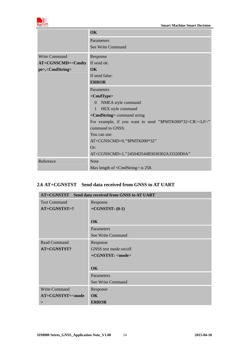

|                                                         | <b>OK</b>                                                          |
|---------------------------------------------------------|--------------------------------------------------------------------|
|                                                         | Parameters                                                         |
|                                                         | See Write Command                                                  |
| <b>Write Command</b>                                    | Response                                                           |
| AT+CGNSCMD= <cmdty< th=""><th>If send ok:</th></cmdty<> | If send ok:                                                        |
| pe>, <cmdstring></cmdstring>                            | <b>OK</b>                                                          |
|                                                         | If send false:                                                     |
|                                                         | <b>ERROR</b>                                                       |
|                                                         | Parameters                                                         |
|                                                         | $<$ CmdType $>$                                                    |
|                                                         | NMEA style command<br>$\Omega$                                     |
|                                                         | HEX style command<br>$\mathbf{1}$                                  |
|                                                         | < <b>CmdString&gt;</b> command string                              |
|                                                         | For example, if you want to send "\$PMTK000*32 <cr><lf>"</lf></cr> |
|                                                         | command to GNSS:                                                   |
|                                                         | You can use:                                                       |
|                                                         | AT+CGNSCMD=0,"\$PMTK000*32"                                        |
|                                                         | Or:                                                                |
|                                                         | AT+CGNSCMD=1,"24504D544B3030302A33320D0A"                          |
| Reference                                               | <b>Note</b>                                                        |
|                                                         | Max length of <cmdstring> is 258.</cmdstring>                      |

### **2.6 AT+CGNSTST Send data received from GNSS to AT UART**

| AT+CGNSTST Send data received from GNSS to AT UART                          |                         |
|-----------------------------------------------------------------------------|-------------------------|
| <b>Test Command</b>                                                         | Response                |
| AT+CGNSTST=?                                                                | $+CGNSTST: (0-1)$       |
|                                                                             |                         |
|                                                                             | OK                      |
|                                                                             | Parameters              |
|                                                                             | See Write Command       |
| <b>Read Command</b>                                                         | Response                |
| AT+CGNSTST?                                                                 | GNSS test mode on/off   |
|                                                                             | +CGNSTST: <mode></mode> |
|                                                                             |                         |
|                                                                             | $\alpha$                |
|                                                                             | Parameters              |
|                                                                             | See Write Command       |
| <b>Write Command</b>                                                        | Response                |
| AT+CGNSTST= <mode< td=""><td><math>\overline{\text{OK}}</math></td></mode<> | $\overline{\text{OK}}$  |
| $\geq$                                                                      | <b>ERROR</b>            |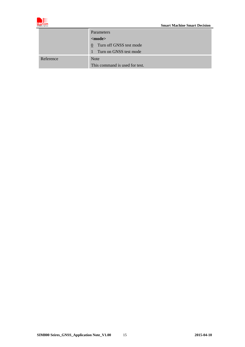

|           | <b>Parameters</b>                      |  |
|-----------|----------------------------------------|--|
|           | $mode>$                                |  |
|           | Turn off GNSS test mode<br>$\theta$    |  |
|           | Turn on GNSS test mode<br>$\mathbf{1}$ |  |
| Reference | <b>Note</b>                            |  |
|           | This command is used for test.         |  |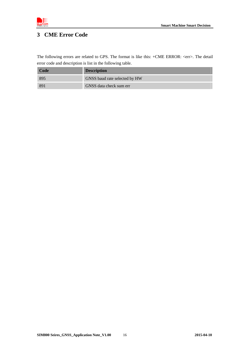

# **3 CME Error Code**

The following errors are related to GPS. The format is like this: +CME ERROR: <err>. The detail error code and description is list in the following table.

| Code | <b>Description</b>            |
|------|-------------------------------|
| 895  | GNSS baud rate selected by HW |
| -891 | GNSS data check sum err       |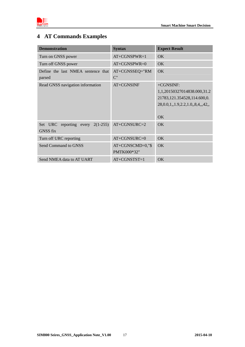

# **4 AT Commands Examples**

| <b>Demonstration</b>                              | <b>Syntax</b>                   | <b>Expect Result</b>                                                                                            |
|---------------------------------------------------|---------------------------------|-----------------------------------------------------------------------------------------------------------------|
| Turn on GNSS power                                | $AT+CGNSPWR=1$                  | <b>OK</b>                                                                                                       |
| Turn off GNSS power                               | $AT+CGNSPWR=0$                  | OK.                                                                                                             |
| Define the last NMEA sentence that<br>parsed      | AT+CGNSSEQ="RM<br>$C$ "         | OK                                                                                                              |
| Read GNSS navigation information                  | AT+CGNSINF                      | $+CGNSINF:$<br>1,1,20150327014838.000,31.2<br>21783,121.354528,114.600,0.<br>28,0.0,1,1.9,2.2,1.0,8,4,42,<br>OK |
| Set URC reporting every<br>$2(1-255)$<br>GNSS fix | AT+CGNSURC=2                    | OK                                                                                                              |
| Turn off URC reporting                            | AT+CGNSURC=0                    | OK                                                                                                              |
| Send Command to GNSS                              | AT+CGNSCMD=0,"\$<br>PMTK000*32" | OK                                                                                                              |
| Send NMEA data to AT UART                         | $AT+CGNSTST=1$                  | OK                                                                                                              |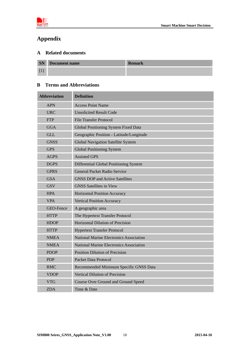

# **Appendix**

### **A Related documents**

| <b>SN</b> | Document name | <b>Remark</b> |
|-----------|---------------|---------------|
|           |               |               |

### **B Terms and Abbreviations**

| <b>Abbreviation</b> | <b>Definition</b>                              |
|---------------------|------------------------------------------------|
| <b>APN</b>          | <b>Access Point Name</b>                       |
| <b>URC</b>          | <b>Unsolicited Result Code</b>                 |
| <b>FTP</b>          | <b>File Transfer Protocol</b>                  |
| <b>GGA</b>          | Global Positioning System Fixed Data           |
| <b>GLL</b>          | Geographic Position - Latitude/Longitude       |
| <b>GNSS</b>         | <b>Global Navigation Satellite System</b>      |
| <b>GPS</b>          | <b>Global Positioning System</b>               |
| <b>AGPS</b>         | <b>Assisted GPS</b>                            |
| <b>DGPS</b>         | Differential Global Positioning System         |
| <b>GPRS</b>         | <b>General Packet Radio Service</b>            |
| <b>GSA</b>          | <b>GNSS DOP and Active Satellites</b>          |
| <b>GSV</b>          | <b>GNSS Satellites in View</b>                 |
| <b>HPA</b>          | <b>Horizontal Position Accuracy</b>            |
| <b>VPA</b>          | <b>Vertical Position Accuracy</b>              |
| GEO-Fence           | A geographic area                              |
| <b>HTTP</b>         | The Hypertext Transfer Protocol                |
| <b>HDOP</b>         | Horizontal Dilution of Precision               |
| <b>HTTP</b>         | <b>Hypertext Transfer Protocol</b>             |
| <b>NMEA</b>         | <b>National Marine Electronics Association</b> |
| <b>NMEA</b>         | <b>National Marine Electronics Association</b> |
| <b>PDOP</b>         | <b>Position Dilution of Precision</b>          |
| <b>PDP</b>          | <b>Packet Data Protocol</b>                    |
| <b>RMC</b>          | Recommended Minimum Specific GNSS Data         |
| <b>VDOP</b>         | Vertical Dilution of Precision                 |
| <b>VTG</b>          | <b>Course Over Ground and Ground Speed</b>     |
| <b>ZDA</b>          | Time & Date                                    |